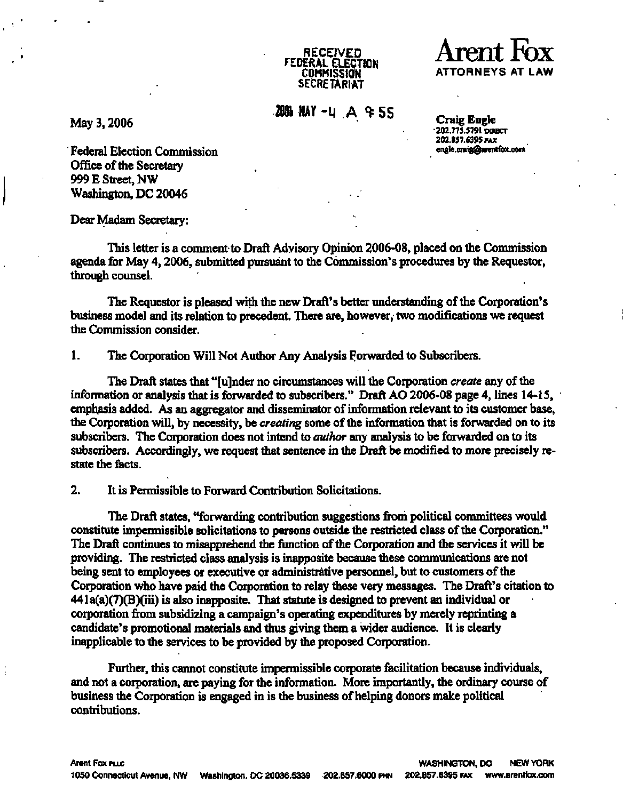

**SECRETARIAT 2006 MAY -4 A & SS Craig Engl** 

**May 3,2006 Craig Engle**  engle.craig@arentfox.com

**1920 1202.857.6395 PAX**<br> **Example Control Commission**<br> **Example Control Commission Office of the Secretary 999 E Street, NW** Washington, DC 20046

**Dear Madam Secretary:** 

**This letter is a comment to Draft Advisory Opinion 2006-08, placed on the Commission agenda for May 4,2006, submitted pursuant to the Commission's procedures by the Requestor, through counsel.** 

**The Requestor is pleased with the new Draft's better understanding of the Corporation's business model and its relation to precedent. There are, however, two modifications we request the Commission consider.** 

**1. The Corporation Will Not Author Any Analysis Forwarded to Subscribers.** 

**The Draft states that "[u]nder no circumstances will the Corporation** *create* **any of the information or analysis that is forwarded to subscribers." Draft AO 2006-08 page 4, lines 14-15, emphasis added. As an aggregator and disseminator of information relevant to its customer base, the Corporation will, by necessity, be** *creating* **some of the information that is forwarded on to its subscribers. The Corporation does not intend to** *author* **any analysis to be forwarded on to its subscribers. Accordingly, we request that sentence in the Draft be modified to more precisely restate the facts.** 

**2. It is Permissible to Forward Contribution Solicitations.** 

**The Draft states, "forwarding contribution suggestions from political committees would constitute impermissible solicitations to persons outside the restricted class of the Corporation." The Draft continues to misapprehend the function of the Corporation and the services it will be providing. The restricted class analysis is inapposite because these communications are not being sent to employees or executive or administrative personnel, but to customers of the Corporation who have paid the Corporation to relay these very messages. The Draft's citation to 441a(a)(7)(B)(iii) is also inapposite. That statute is designed to prevent an individual or corporation from subsidizing a campaign's operating expenditures by merely reprinting a candidate's promotional materials and thus giving them a wider audience. It is clearly inapplicable to the services to be provided by the proposed Corporation.** 

**Further, this cannot constitute impermissible corporate facilitation because individuals, and not a corporation, are paying for the information. More importantly, the ordinary course of business the Corporation is engaged in is the business of helping donors make political contributions.**